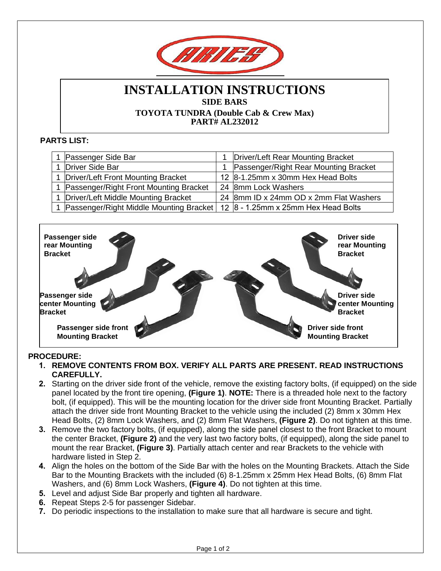

## **INSTALLATION INSTRUCTIONS SIDE BARS TOYOTA TUNDRA (Double Cab & Crew Max) PART# AL232012**

## **PARTS LIST:**

| Passenger Side Bar                      | Driver/Left Rear Mounting Bracket       |
|-----------------------------------------|-----------------------------------------|
| Driver Side Bar                         | Passenger/Right Rear Mounting Bracket   |
| 1 Driver/Left Front Mounting Bracket    | 12 8-1.25mm x 30mm Hex Head Bolts       |
| Passenger/Right Front Mounting Bracket  | 24 8mm Lock Washers                     |
| 1 Driver/Left Middle Mounting Bracket   | 24  8mm ID x 24mm OD x 2mm Flat Washers |
| Passenger/Right Middle Mounting Bracket | 12 $ 8 - 1.25$ mm x 25mm Hex Head Bolts |



## **PROCEDURE:**

- **1. REMOVE CONTENTS FROM BOX. VERIFY ALL PARTS ARE PRESENT. READ INSTRUCTIONS CAREFULLY.**
- **2.** Starting on the driver side front of the vehicle, remove the existing factory bolts, (if equipped) on the side panel located by the front tire opening, **(Figure 1)**. **NOTE:** There is a threaded hole next to the factory bolt, (if equipped). This will be the mounting location for the driver side front Mounting Bracket. Partially attach the driver side front Mounting Bracket to the vehicle using the included (2) 8mm x 30mm Hex Head Bolts, (2) 8mm Lock Washers, and (2) 8mm Flat Washers, **(Figure 2)**. Do not tighten at this time.
- **3.** Remove the two factory bolts, (if equipped), along the side panel closest to the front Bracket to mount the center Bracket, **(Figure 2)** and the very last two factory bolts, (if equipped), along the side panel to mount the rear Bracket, **(Figure 3)**. Partially attach center and rear Brackets to the vehicle with hardware listed in Step 2.
- **4.** Align the holes on the bottom of the Side Bar with the holes on the Mounting Brackets. Attach the Side Bar to the Mounting Brackets with the included (6) 8-1.25mm x 25mm Hex Head Bolts, (6) 8mm Flat Washers, and (6) 8mm Lock Washers, **(Figure 4)**. Do not tighten at this time.
- **5.** Level and adjust Side Bar properly and tighten all hardware.
- **6.** Repeat Steps 2-5 for passenger Sidebar.
- **7.** Do periodic inspections to the installation to make sure that all hardware is secure and tight.